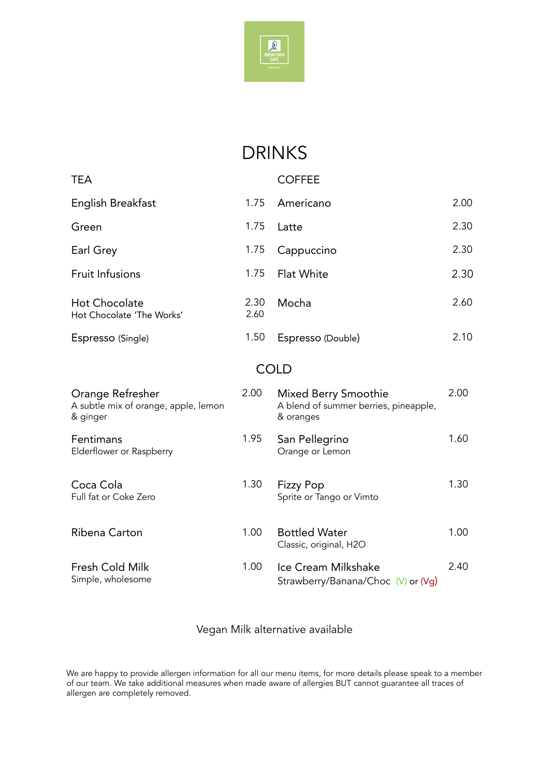

## DRINKS

| <b>TEA</b>                                                           |              | <b>COFFEE</b>                                                              |      |  |  |  |  |
|----------------------------------------------------------------------|--------------|----------------------------------------------------------------------------|------|--|--|--|--|
| English Breakfast                                                    | 1.75         | Americano                                                                  | 2.00 |  |  |  |  |
| Green                                                                | 1.75         | Latte                                                                      | 2.30 |  |  |  |  |
| Earl Grey                                                            | 1.75         | Cappuccino                                                                 | 2.30 |  |  |  |  |
| <b>Fruit Infusions</b>                                               | 1.75         | Flat White                                                                 | 2.30 |  |  |  |  |
| <b>Hot Chocolate</b><br>Hot Chocolate 'The Works'                    | 2.30<br>2.60 | Mocha                                                                      | 2.60 |  |  |  |  |
| Espresso (Single)                                                    | 1.50         | Espresso (Double)                                                          | 2.10 |  |  |  |  |
| <b>COLD</b>                                                          |              |                                                                            |      |  |  |  |  |
| Orange Refresher<br>A subtle mix of orange, apple, lemon<br>& ginger | 2.00         | Mixed Berry Smoothie<br>A blend of summer berries, pineapple,<br>& oranges | 2.00 |  |  |  |  |
| Fentimans<br>Elderflower or Raspberry                                | 1.95         | San Pellegrino<br>Orange or Lemon                                          | 1.60 |  |  |  |  |
| Coca Cola<br>Full fat or Coke Zero                                   | 1.30         | <b>Fizzy Pop</b><br>Sprite or Tango or Vimto                               | 1.30 |  |  |  |  |
| Ribena Carton                                                        | 1.00         | <b>Bottled Water</b><br>Classic, original, H2O                             | 1.00 |  |  |  |  |
| Fresh Cold Milk<br>Simple, wholesome                                 | 1.00         | Ice Cream Milkshake<br>Strawberry/Banana/Choc (V) or (Vg)                  | 2.40 |  |  |  |  |

## Vegan Milk alternative available

We are happy to provide allergen information for all our menu items, for more details please speak to a member of our team. We take additional measures when made aware of allergies BUT cannot guarantee all traces of allergen are completely removed.